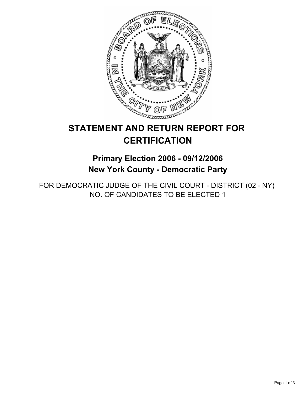

# **STATEMENT AND RETURN REPORT FOR CERTIFICATION**

**Primary Election 2006 - 09/12/2006 New York County - Democratic Party**

FOR DEMOCRATIC JUDGE OF THE CIVIL COURT - DISTRICT (02 - NY) NO. OF CANDIDATES TO BE ELECTED 1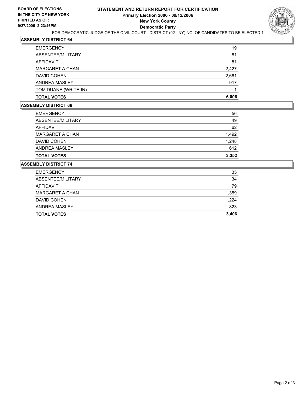

## **ASSEMBLY DISTRICT 64**

| <b>EMERGENCY</b>       | 19    |
|------------------------|-------|
| ABSENTEE/MILITARY      | 81    |
| <b>AFFIDAVIT</b>       | 81    |
| <b>MARGARET A CHAN</b> | 2,427 |
| DAVID COHEN            | 2,661 |
| ANDREA MASLEY          | 917   |
| TOM DUANE (WRITE-IN)   |       |
| <b>TOTAL VOTES</b>     | 6,006 |

#### **ASSEMBLY DISTRICT 66**

| <b>TOTAL VOTES</b>     | 3,352 |
|------------------------|-------|
| ANDREA MASLEY          | 612   |
| DAVID COHEN            | 1,248 |
| <b>MARGARET A CHAN</b> | 1,492 |
| AFFIDAVIT              | 62    |
| ABSENTEE/MILITARY      | 49    |
| <b>EMERGENCY</b>       | 56    |

#### **ASSEMBLY DISTRICT 74**

| <b>EMERGENCY</b>       | 35    |
|------------------------|-------|
| ABSENTEE/MILITARY      | 34    |
| AFFIDAVIT              | 79    |
| <b>MARGARET A CHAN</b> | 1,359 |
| DAVID COHEN            | 1,224 |
| ANDREA MASLEY          | 823   |
| <b>TOTAL VOTES</b>     | 3,406 |